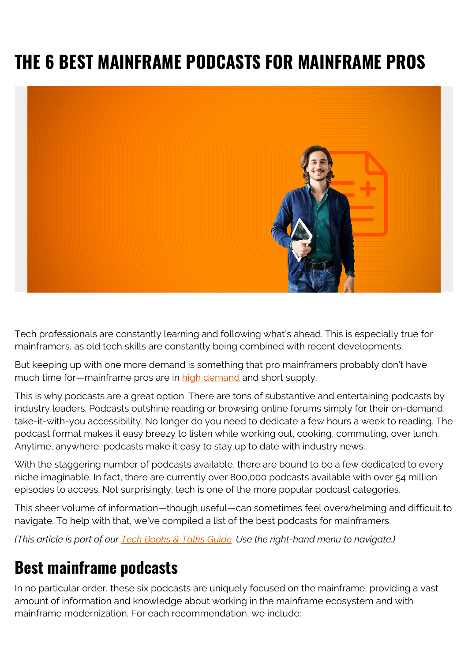# **THE 6 BEST MAINFRAME PODCASTS FOR MAINFRAME PROS**



Tech professionals are constantly learning and following what's ahead. This is especially true for mainframers, as old tech skills are constantly being combined with recent developments.

But keeping up with one more demand is something that pro mainframers probably don't have much time for—mainframe pros are in [high demand](https://blogs.bmc.com/blogs/getting-right-people-skills-to-optimize-mainframe/) and short supply.

This is why podcasts are a great option. There are tons of substantive and entertaining podcasts by industry leaders. Podcasts outshine reading or browsing online forums simply for their on-demand, take-it-with-you accessibility. No longer do you need to dedicate a few hours a week to reading. The podcast format makes it easy breezy to listen while working out, cooking, commuting, over lunch. Anytime, anywhere, podcasts make it easy to stay up to date with industry news.

With the staggering number of podcasts available, there are bound to be a few dedicated to every niche imaginable. In fact, there are currently over 800,000 podcasts available with over 54 million episodes to access. Not surprisingly, tech is one of the more popular podcast categories.

This sheer volume of information—though useful—can sometimes feel overwhelming and difficult to navigate. To help with that, we've compiled a list of the best podcasts for mainframers.

*(This article is part of our [Tech Books & Talks Guide.](https://blogs.bmc.com/blogs/itsm-books/) Use the right-hand menu to navigate.)*

## **Best mainframe podcasts**

In no particular order, these six podcasts are uniquely focused on the mainframe, providing a vast amount of information and knowledge about working in the mainframe ecosystem and with mainframe modernization. For each recommendation, we include: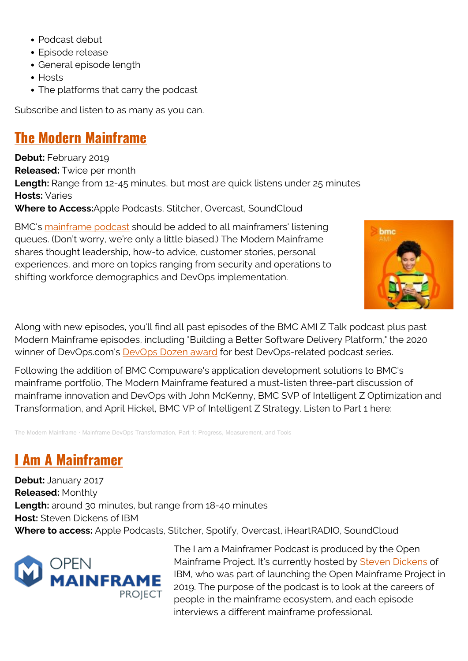- Podcast debut
- Episode release
- General episode length
- Hosts
- The platforms that carry the podcast

Subscribe and listen to as many as you can.

#### **[The Modern Mainframe](https://soundcloud.com/modernmainframe)**

**Debut: February 2019 Released:** Twice per month **Length:** Range from 12-45 minutes, but most are quick listens under 25 minutes **Hosts:** Varies **Where to Access:**Apple Podcasts, Stitcher, Overcast, SoundCloud

BMC's [mainframe podcast](https://blogs.bmc.com/info/mainframe-podcasts.html) should be added to all mainframers' listening queues. (Don't worry, we're only a little biased.) The Modern Mainframe shares thought leadership, how-to advice, customer stories, personal experiences, and more on topics ranging from security and operations to shifting workforce demographics and DevOps implementation.



Along with new episodes, you'll find all past episodes of the BMC AMI Z Talk podcast plus past Modern Mainframe episodes, including "Building a Better Software Delivery Platform," the 2020 winner of DevOps.com's **DevOps Dozen award** for best DevOps-related podcast series.

Following the addition of BMC Compuware's application development solutions to BMC's mainframe portfolio, The Modern Mainframe featured a must-listen three-part discussion of mainframe innovation and DevOps with John McKenny, BMC SVP of Intelligent Z Optimization and Transformation, and April Hickel, BMC VP of Intelligent Z Strategy. Listen to Part 1 here:

[The Modern Mainframe](https://soundcloud.com/modernmainframe) · [Mainframe DevOps Transformation, Part 1: Progress, Measurement, and Tools](https://soundcloud.com/modernmainframe/mainframe-devops-transformation-part-1-progress-measurement-and-tools)

### **[I Am A Mainframer](https://www.openmainframeproject.org/news/podcast)**

**Debut:** January 2017 **Released:** Monthly **Length:** around 30 minutes, but range from 18-40 minutes **Host:** Steven Dickens of IBM **Where to access:** Apple Podcasts, Stitcher, Spotify, Overcast, iHeartRADIO, SoundCloud



The I am a Mainframer Podcast is produced by the Open Mainframe Project. It's currently hosted by [Steven Dickens](https://www.ibm.com/blogs/systems/mx-es/author/steven-dickens/) of IBM, who was part of launching the Open Mainframe Project in 2019. The purpose of the podcast is to look at the careers of people in the mainframe ecosystem, and each episode interviews a different mainframe professional.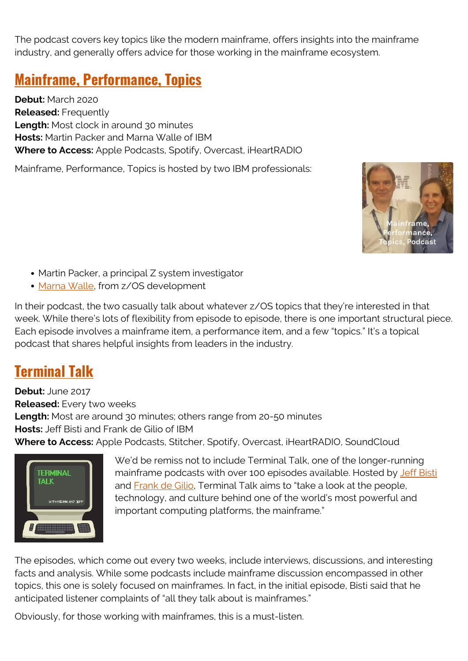The podcast covers key topics like the modern mainframe, offers insights into the mainframe industry, and generally offers advice for those working in the mainframe ecosystem.

#### **[Mainframe, Performance, Topics](https://mainframeperformancetopics.com/)**

**Debut:** March 2020 **Released:** Frequently **Length:** Most clock in around 30 minutes **Hosts:** Martin Packer and Marna Walle of IBM **Where to Access:** Apple Podcasts, Spotify, Overcast, iHeartRADIO

Mainframe, Performance, Topics is hosted by two IBM professionals:



- Martin Packer, a principal Z system investigator
- [Marna Walle](https://github.com/marnawalle), from z/OS development

In their podcast, the two casually talk about whatever z/OS topics that they're interested in that week. While there's lots of flexibility from episode to episode, there is one important structural piece. Each episode involves a mainframe item, a performance item, and a few "topics." It's a topical podcast that shares helpful insights from leaders in the industry.

#### **[Terminal Talk](https://www.terminaltalk.net/)**

**Debut:** June 2017 **Released:** Every two weeks **Length:** Most are around 30 minutes; others range from 20-50 minutes **Hosts:** Jeff Bisti and Frank de Gilio of IBM **Where to Access:** Apple Podcasts, Stitcher, Spotify, Overcast, iHeartRADIO, SoundCloud



We'd be remiss not to include Terminal Talk, one of the longer-running mainframe podcasts with over 100 episodes available. Hosted by [Jeff Bisti](https://twitter.com/JeffBisti) and [Frank de Gilio](https://twitter.com/degilio), Terminal Talk aims to "take a look at the people, technology, and culture behind one of the world's most powerful and important computing platforms, the mainframe."

The episodes, which come out every two weeks, include interviews, discussions, and interesting facts and analysis. While some podcasts include mainframe discussion encompassed in other topics, this one is solely focused on mainframes. In fact, in the initial episode, Bisti said that he anticipated listener complaints of "all they talk about is mainframes."

Obviously, for those working with mainframes, this is a must-listen.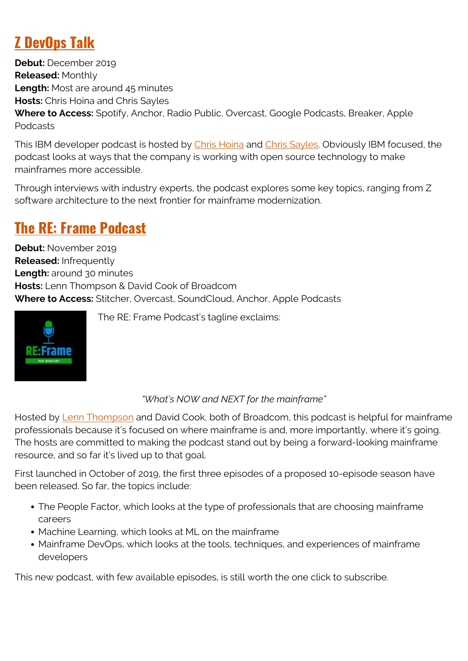## **[Z DevOps Talk](https://developer.ibm.com/mainframe/2019/12/03/ibm-z-devops-talks-with-rosalind-radcliffe/)**

**Debut:** December 2019 **Released:** Monthly Length: Most are around 45 minutes **Hosts:** Chris Hoina and Chris Sayles **Where to Access:** Spotify, Anchor, Radio Public, Overcast, Google Podcasts, Breaker, Apple Podcasts

This IBM developer podcast is hosted by [Chris Hoina](https://twitter.com/chrishoina) and [Chris Sayles.](https://twitter.com/thechrissayles) Obviously IBM focused, the podcast looks at ways that the company is working with open source technology to make mainframes more accessible.

Through interviews with industry experts, the podcast explores some key topics, ranging from Z software architecture to the next frontier for mainframe modernization.

### **[The RE: Frame Podcast](https://www.stitcher.com/podcast/the-reframe-podcast)**

**Debut:** November 2019 **Released:** Infrequently **Length:** around 30 minutes **Hosts:** Lenn Thompson & David Cook of Broadcom **Where to Access:** Stitcher, Overcast, SoundCloud, Anchor, Apple Podcasts



The RE: Frame Podcast's tagline exclaims:

#### *"What's NOW and NEXT for the mainframe"*

Hosted by [Lenn Thompson](https://twitter.com/lennthompson) and David Cook, both of Broadcom, this podcast is helpful for mainframe professionals because it's focused on where mainframe is and, more importantly, where it's going. The hosts are committed to making the podcast stand out by being a forward-looking mainframe resource, and so far it's lived up to that goal.

First launched in October of 2019, the first three episodes of a proposed 10-episode season have been released. So far, the topics include:

- The People Factor, which looks at the type of professionals that are choosing mainframe careers
- Machine Learning, which looks at ML on the mainframe
- Mainframe DevOps, which looks at the tools, techniques, and experiences of mainframe developers

This new podcast, with few available episodes, is still worth the one click to subscribe.